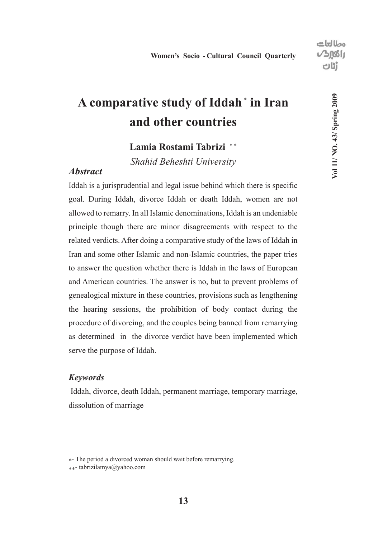## **A comparative study of Iddah** <sup>∗</sup>**<sup>1</sup> in Iran and other countries**

## Lamia Rostami Tabrizi<sup>\*</sup>

*Shahid Beheshti University*

### *Abstract*

Iddah is a jurisprudential and legal issue behind which there is specific goal. During Iddah, divorce Iddah or death Iddah, women are not allowed to remarry. In all Islamic denominations, Iddah is an undeniable principle though there are minor disagreements with respect to the related verdicts. After doing a comparative study of the laws of Iddah in Iran and some other Islamic and non-Islamic countries, the paper tries to answer the question whether there is Iddah in the laws of European and American countries. The answer is no, but to prevent problems of genealogical mixture in these countries, provisions such as lengthening the hearing sessions, the prohibition of body contact during the procedure of divorcing, and the couples being banned from remarrying as determined in the divorce verdict have been implemented which serve the purpose of Iddah.

#### *Keywords*

 Iddah, divorce, death Iddah, permanent marriage, temporary marriage, dissolution of marriage

<sup>\*</sup>- The period a divorced woman should wait before remarrying.

<sup>\*\*-</sup> tabrizilamya@yahoo.com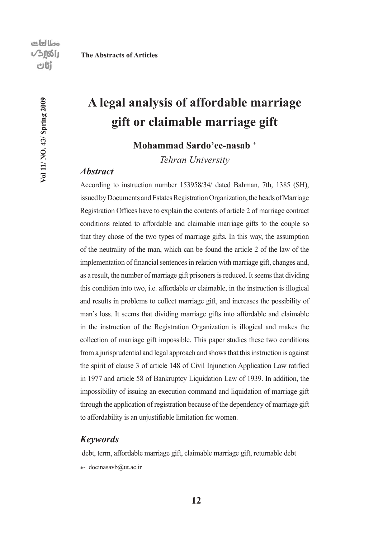Vol 11/ NO. 43/ Spring 2009

## **A legal analysis of affordable marriage gift or claimable marriage gift**

### Mohammad Sardo'ee-nasab<sup>\*</sup>

*Tehran University*

#### *Abstract*

According to instruction number 153958/34/ dated Bahman, 7th, 1385 (SH), issued by Documents and Estates Registration Organization, the heads of Marriage Registration Offices have to explain the contents of article 2 of marriage contract conditions related to affordable and claimable marriage gifts to the couple so that they chose of the two types of marriage gifts. In this way, the assumption of the neutrality of the man, which can be found the article 2 of the law of the implementation of financial sentences in relation with marriage gift, changes and, as a result, the number of marriage gift prisoners is reduced. It seems that dividing this condition into two, i.e. affordable or claimable, in the instruction is illogical and results in problems to collect marriage gift, and increases the possibility of man's loss. It seems that dividing marriage gifts into affordable and claimable in the instruction of the Registration Organization is illogical and makes the collection of marriage gift impossible. This paper studies these two conditions from a jurisprudential and legal approach and shows that this instruction is against the spirit of clause 3 of article 148 of Civil Injunction Application Law ratified in 1977 and article 58 of Bankruptcy Liquidation Law of 1939. In addition, the impossibility of issuing an execution command and liquidation of marriage gift through the application of registration because of the dependency of marriage gift to affordability is an unjustifiable limitation for women.

#### *Keywords*

debt, term, affordable marriage gift, claimable marriage gift, returnable debt

\*- doeinasavb@ut.ac.ir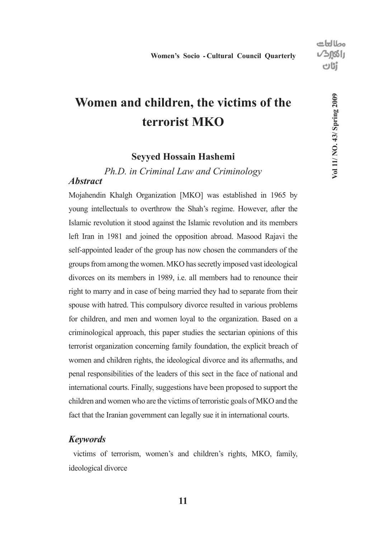## **Women and children, the victims of the terrorist MKO**

#### **Seyyed Hossain Hashemi**

## *Ph.D. in Criminal Law and Criminology Abstract*

Mojahendin Khalgh Organization [MKO] was established in 1965 by young intellectuals to overthrow the Shah's regime. However, after the Islamic revolution it stood against the Islamic revolution and its members left Iran in 1981 and joined the opposition abroad. Masood Rajavi the self-appointed leader of the group has now chosen the commanders of the groups from among the women. MKO has secretly imposed vast ideological divorces on its members in 1989, i.e. all members had to renounce their right to marry and in case of being married they had to separate from their spouse with hatred. This compulsory divorce resulted in various problems for children, and men and women loyal to the organization. Based on a criminological approach, this paper studies the sectarian opinions of this terrorist organization concerning family foundation, the explicit breach of women and children rights, the ideological divorce and its aftermaths, and penal responsibilities of the leaders of this sect in the face of national and international courts. Finally, suggestions have been proposed to support the children and women who are the victims of terroristic goals of MKO and the fact that the Iranian government can legally sue it in international courts.

#### *Keywords*

 victims of terrorism, women's and children's rights, MKO, family, ideological divorce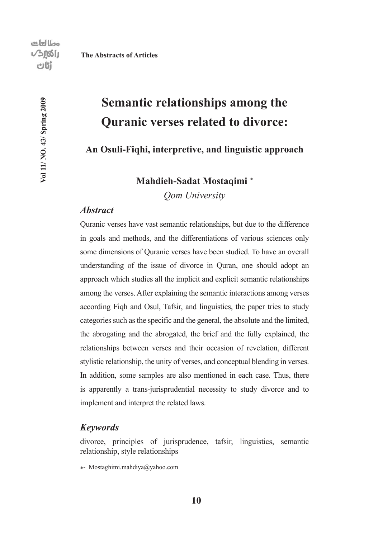Vol 11/ NO. 43/ Spring 2009

## **Semantic relationships among the Quranic verses related to divorce:**

## **An Osuli-Fiqhi, interpretive, and linguistic approach**

## Mahdieh-Sadat Mostaqimi<sup>\*</sup>

*Qom University*

## *Abstract*

Quranic verses have vast semantic relationships, but due to the difference in goals and methods, and the differentiations of various sciences only some dimensions of Quranic verses have been studied. To have an overall understanding of the issue of divorce in Quran, one should adopt an approach which studies all the implicit and explicit semantic relationships among the verses. After explaining the semantic interactions among verses according Fiqh and Osul, Tafsir, and linguistics, the paper tries to study categories such as the specific and the general, the absolute and the limited, the abrogating and the abrogated, the brief and the fully explained, the relationships between verses and their occasion of revelation, different stylistic relationship, the unity of verses, and conceptual blending in verses. In addition, some samples are also mentioned in each case. Thus, there is apparently a trans-jurisprudential necessity to study divorce and to implement and interpret the related laws.

#### *Keywords*

divorce, principles of jurisprudence, tafsir, linguistics, semantic relationship, style relationships

\*- Mostaghimi.mahdiya@yahoo.com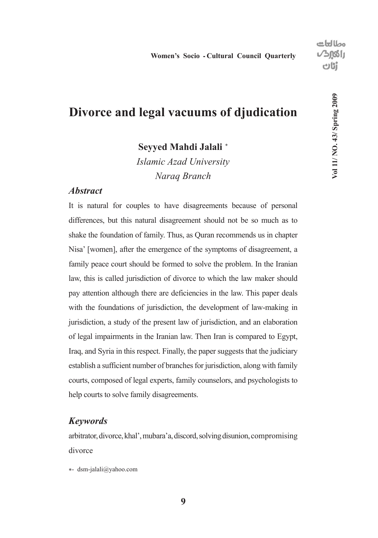## **Divorce and legal vacuums of djudication**

Seyyed Mahdi Jalali<sup>\*</sup>

*Islamic Azad University Naraq Branch*

### *Abstract*

It is natural for couples to have disagreements because of personal differences, but this natural disagreement should not be so much as to shake the foundation of family. Thus, as Quran recommends us in chapter Nisa' [women], after the emergence of the symptoms of disagreement, a family peace court should be formed to solve the problem. In the Iranian law, this is called jurisdiction of divorce to which the law maker should pay attention although there are deficiencies in the law. This paper deals with the foundations of jurisdiction, the development of law-making in jurisdiction, a study of the present law of jurisdiction, and an elaboration of legal impairments in the Iranian law. Then Iran is compared to Egypt, Iraq, and Syria in this respect. Finally, the paper suggests that the judiciary establish a sufficient number of branches for jurisdiction, along with family courts, composed of legal experts, family counselors, and psychologists to help courts to solve family disagreements.

### *Keywords*

arbitrator, divorce, khal', mubara'a, discord, solving disunion, compromising divorce

\*- dsm-jalali@yahoo.com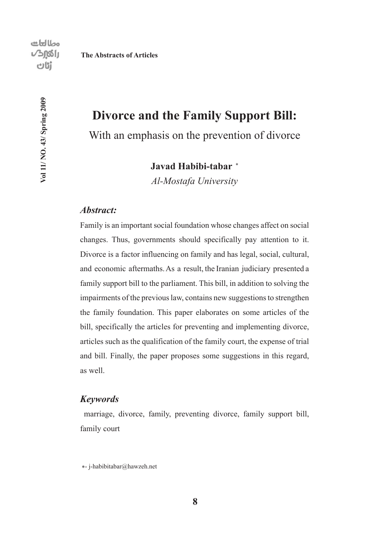Vol 11/ NO. 43/ Spring 2009

# **Divorce and the Family Support Bill:**

With an emphasis on the prevention of divorce

**Javad Habibi-tabar**<sup>∗</sup>

*Al-Mostafa University*

## *Abstract:*

Family is an important social foundation whose changes affect on social changes. Thus, governments should specifically pay attention to it. Divorce is a factor influencing on family and has legal, social, cultural, and economic aftermaths. As a result, the Iranian judiciary presented a family support bill to the parliament. This bill, in addition to solving the impairments of the previous law, contains new suggestions to strengthen the family foundation. This paper elaborates on some articles of the bill, specifically the articles for preventing and implementing divorce, articles such as the qualification of the family court, the expense of trial and bill. Finally, the paper proposes some suggestions in this regard, as well.

#### *Keywords*

 marriage, divorce, family, preventing divorce, family support bill, family court

\*- j-habibitabar@hawzeh.net